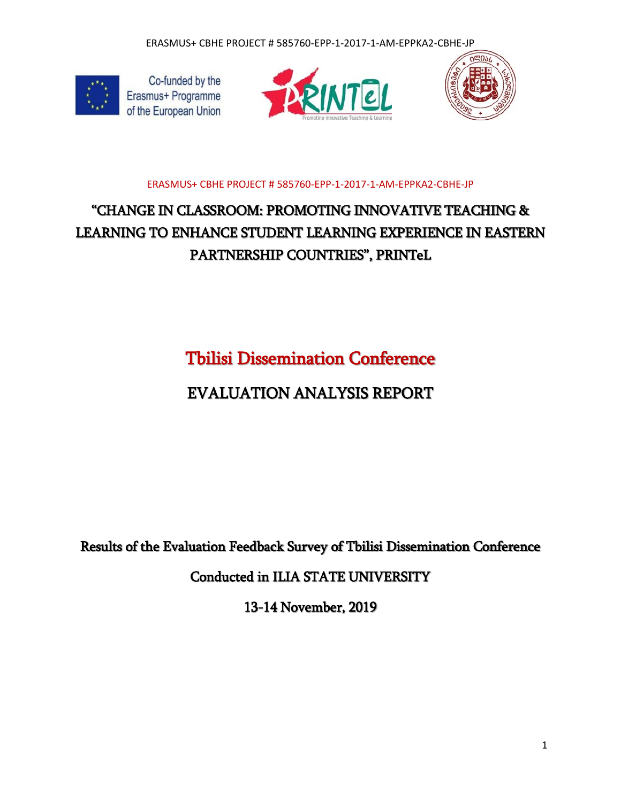

Co-funded by the Erasmus+ Programme of the European Union





### ERASMUS+ CBHE PROJECT # 585760-EPP-1-2017-1-AM-EPPKA2-CBHE-JP

## "CHANGE IN CLASSROOM: PROMOTING INNOVATIVE TEACHING & LEARNING TO ENHANCE STUDENT LEARNING EXPERIENCE IN EASTERN PARTNERSHIP COUNTRIES", PRINTeL

Tbilisi Dissemination Conference

## EVALUATION ANALYSIS REPORT

Results of the Evaluation Feedback Survey of Tbilisi Dissemination Conference

Conducted in ILIA STATE UNIVERSITY

13-14 November, 2019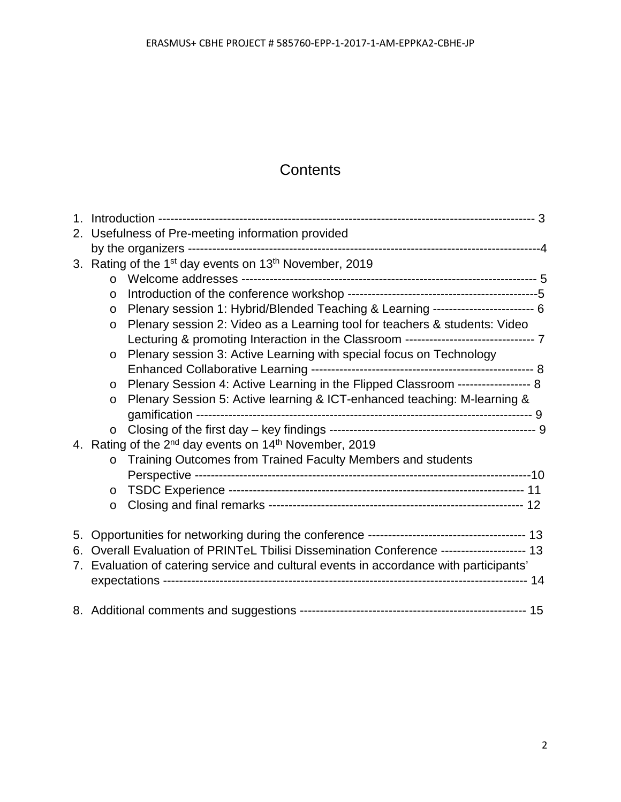### **Contents**

| 2. Usefulness of Pre-meeting information provided |                                                                                        |                                                                                      |  |
|---------------------------------------------------|----------------------------------------------------------------------------------------|--------------------------------------------------------------------------------------|--|
|                                                   |                                                                                        |                                                                                      |  |
|                                                   | 3. Rating of the 1 <sup>st</sup> day events on 13 <sup>th</sup> November, 2019         |                                                                                      |  |
|                                                   | $\Omega$                                                                               |                                                                                      |  |
|                                                   | $\circ$                                                                                |                                                                                      |  |
|                                                   | $\circ$                                                                                | Plenary session 1: Hybrid/Blended Teaching & Learning ------------------------- 6    |  |
|                                                   | $\circ$                                                                                | Plenary session 2: Video as a Learning tool for teachers & students: Video           |  |
|                                                   |                                                                                        | Lecturing & promoting Interaction in the Classroom ------------------------------- 7 |  |
|                                                   | $\circ$                                                                                | Plenary session 3: Active Learning with special focus on Technology                  |  |
|                                                   |                                                                                        |                                                                                      |  |
|                                                   | $\circ$                                                                                | Plenary Session 4: Active Learning in the Flipped Classroom ------------------ 8     |  |
|                                                   | $\circ$                                                                                | Plenary Session 5: Active learning & ICT-enhanced teaching: M-learning &             |  |
|                                                   |                                                                                        |                                                                                      |  |
|                                                   | $\circ$                                                                                |                                                                                      |  |
| 4.                                                | Rating of the 2 <sup>nd</sup> day events on 14 <sup>th</sup> November, 2019            |                                                                                      |  |
|                                                   | $\circ$                                                                                | Training Outcomes from Trained Faculty Members and students                          |  |
|                                                   |                                                                                        |                                                                                      |  |
|                                                   | $\circ$                                                                                |                                                                                      |  |
|                                                   | $\circ$                                                                                |                                                                                      |  |
| 5.                                                |                                                                                        |                                                                                      |  |
| 6.                                                | Overall Evaluation of PRINTeL Tbilisi Dissemination Conference -------------------- 13 |                                                                                      |  |
|                                                   | 7. Evaluation of catering service and cultural events in accordance with participants' |                                                                                      |  |
|                                                   |                                                                                        |                                                                                      |  |
|                                                   |                                                                                        |                                                                                      |  |
|                                                   |                                                                                        |                                                                                      |  |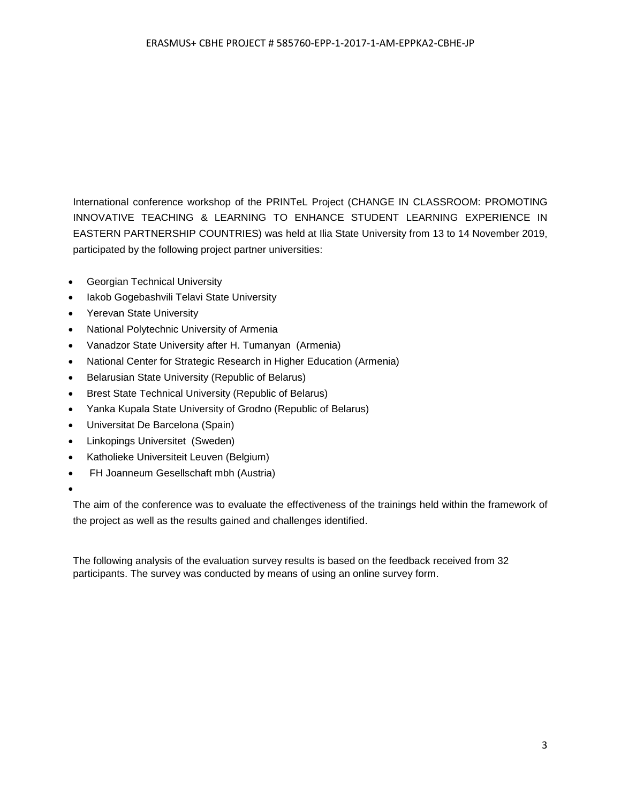International conference workshop of the PRINTeL Project (CHANGE IN CLASSROOM: PROMOTING INNOVATIVE TEACHING & LEARNING TO ENHANCE STUDENT LEARNING EXPERIENCE IN EASTERN PARTNERSHIP COUNTRIES) was held at Ilia State University from 13 to 14 November 2019, participated by the following project partner universities:

- Georgian Technical University
- Iakob Gogebashvili Telavi State University
- Yerevan State University
- National Polytechnic University of Armenia
- Vanadzor State University after H. Tumanyan (Armenia)
- National Center for Strategic Research in Higher Education (Armenia)
- Belarusian State University (Republic of Belarus)
- Brest State Technical University (Republic of Belarus)
- Yanka Kupala State University of Grodno (Republic of Belarus)
- Universitat De Barcelona (Spain)
- Linkopings Universitet (Sweden)
- Katholieke Universiteit Leuven (Belgium)
- FH Joanneum Gesellschaft mbh (Austria)
- •

The aim of the conference was to evaluate the effectiveness of the trainings held within the framework of the project as well as the results gained and challenges identified.

The following analysis of the evaluation survey results is based on the feedback received from 32 participants. The survey was conducted by means of using an online survey form.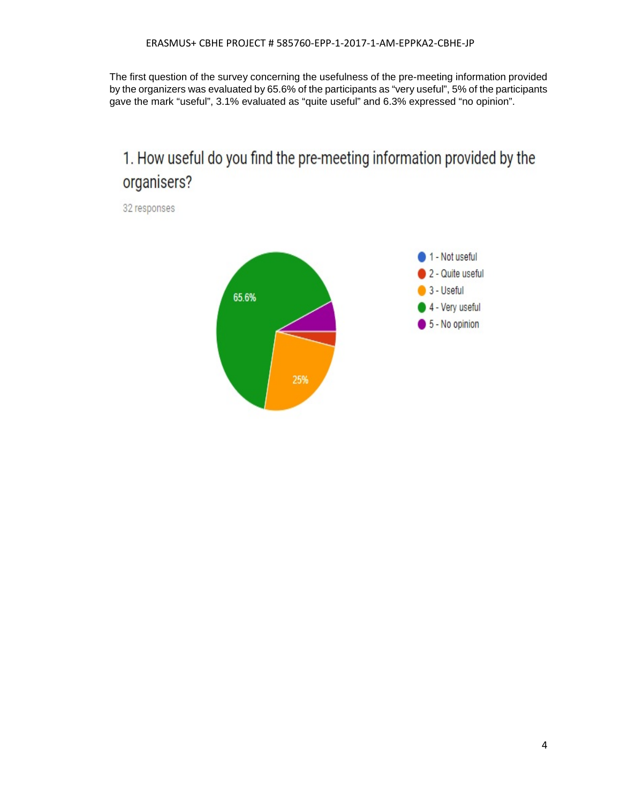The first question of the survey concerning the usefulness of the pre-meeting information provided by the organizers was evaluated by 65.6% of the participants as "very useful", 5% of the participants gave the mark "useful", 3.1% evaluated as "quite useful" and 6.3% expressed "no opinion".

# 1. How useful do you find the pre-meeting information provided by the organisers?

32 responses

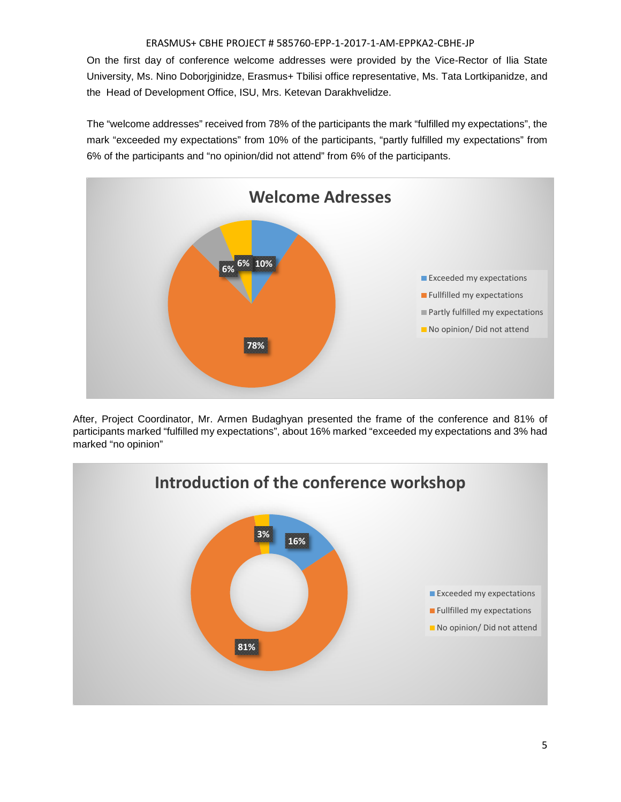On the first day of conference welcome addresses were provided by the Vice-Rector of Ilia State University, Ms. Nino Doborjginidze, Erasmus+ Tbilisi office representative, Ms. Tata Lortkipanidze, and the Head of Development Office, ISU, Mrs. Ketevan Darakhvelidze.

The "welcome addresses" received from 78% of the participants the mark "fulfilled my expectations", the mark "exceeded my expectations" from 10% of the participants, "partly fulfilled my expectations" from 6% of the participants and "no opinion/did not attend" from 6% of the participants.



After, Project Coordinator, Mr. Armen Budaghyan presented the frame of the conference and 81% of participants marked "fulfilled my expectations", about 16% marked "exceeded my expectations and 3% had marked "no opinion"

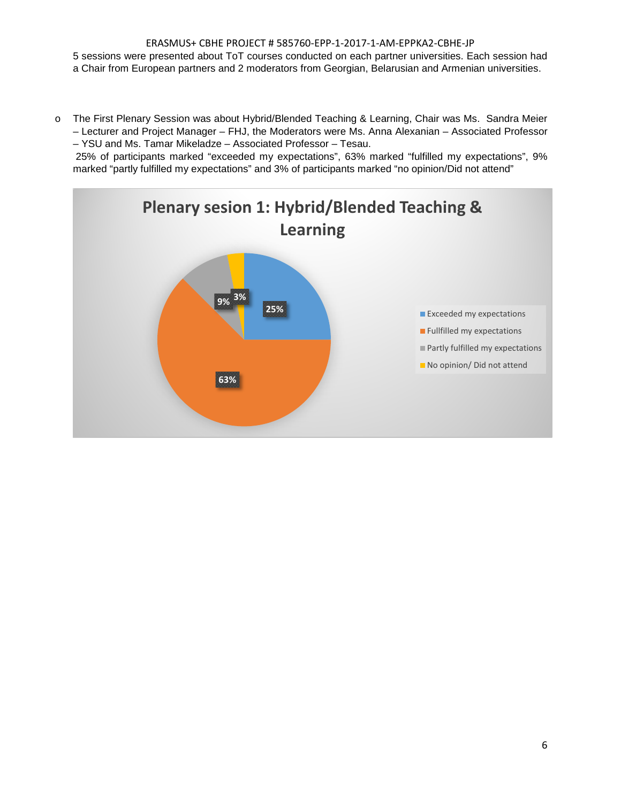#### ERASMUS+ CBHE PROJECT # 585760-EPP-1-2017-1-AM-EPPKA2-CBHE-JP 5 sessions were presented about ToT courses conducted on each partner universities. Each session had a Chair from European partners and 2 moderators from Georgian, Belarusian and Armenian universities.

o The First Plenary Session was about Hybrid/Blended Teaching & Learning, Chair was Ms. Sandra Meier – Lecturer and Project Manager – FHJ, the Moderators were Ms. Anna Alexanian – Associated Professor – YSU and Ms. Tamar Mikeladze – Associated Professor – Tesau.

25% of participants marked "exceeded my expectations", 63% marked "fulfilled my expectations", 9% marked "partly fulfilled my expectations" and 3% of participants marked "no opinion/Did not attend"

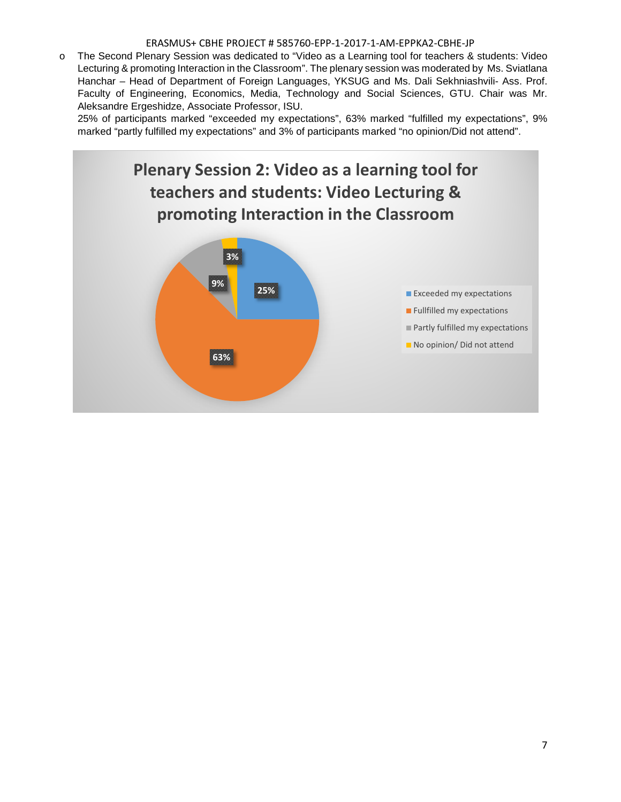o The Second Plenary Session was dedicated to "Video as a Learning tool for teachers & students: Video Lecturing & promoting Interaction in the Classroom". The plenary session was moderated by Ms. Sviatlana Hanchar – Head of Department of Foreign Languages, YKSUG and Ms. Dali Sekhniashvili- Ass. Prof. Faculty of Engineering, Economics, Media, Technology and Social Sciences, GTU. Chair was Mr. Aleksandre Ergeshidze, Associate Professor, ISU.

25% of participants marked "exceeded my expectations", 63% marked "fulfilled my expectations", 9% marked "partly fulfilled my expectations" and 3% of participants marked "no opinion/Did not attend".

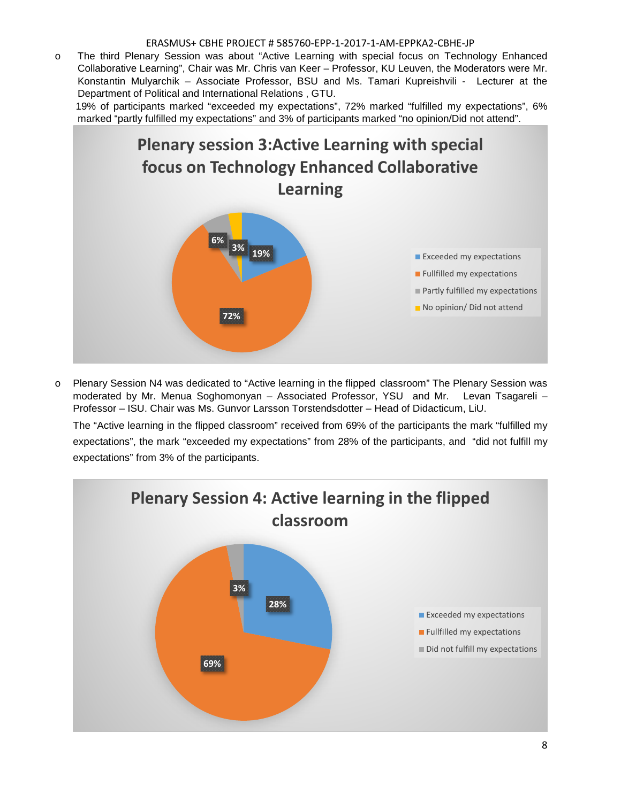o The third Plenary Session was about "Active Learning with special focus on Technology Enhanced Collaborative Learning", Chair was Mr. Chris van Keer – Professor, KU Leuven, the Moderators were Mr. Konstantin Mulyarchik – Associate Professor, BSU and Ms. Tamari Kupreishvili - Lecturer at the Department of Political and International Relations , GTU.

19% of participants marked "exceeded my expectations", 72% marked "fulfilled my expectations", 6% marked "partly fulfilled my expectations" and 3% of participants marked "no opinion/Did not attend".



o Plenary Session N4 was dedicated to "Active learning in the flipped classroom" The Plenary Session was moderated by Mr. Menua Soghomonyan – Associated Professor, YSU and Mr. Levan Tsagareli – Professor – ISU. Chair was Ms. Gunvor Larsson Torstendsdotter – Head of Didacticum, LiU.

The "Active learning in the flipped classroom" received from 69% of the participants the mark "fulfilled my expectations", the mark "exceeded my expectations" from 28% of the participants, and "did not fulfill my expectations" from 3% of the participants.

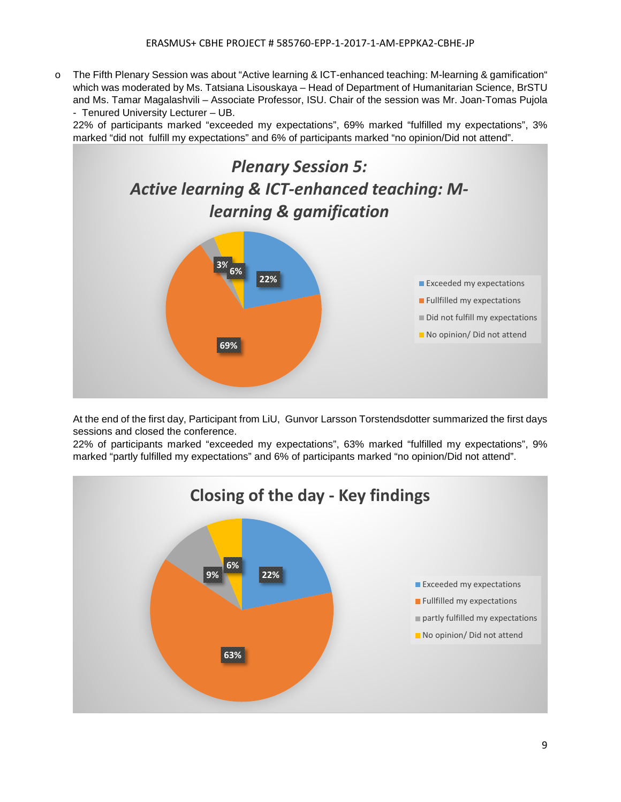o The Fifth Plenary Session was about "Active learning & ICT-enhanced teaching: M-learning & gamification" which was moderated by Ms. Tatsiana Lisouskaya – Head of Department of Humanitarian Science, BrSTU and Ms. Tamar Magalashvili – Associate Professor, ISU. Chair of the session was Mr. Joan-Tomas Pujola - Tenured University Lecturer – UB.

22% of participants marked "exceeded my expectations", 69% marked "fulfilled my expectations", 3% marked "did not fulfill my expectations" and 6% of participants marked "no opinion/Did not attend".



At the end of the first day, Participant from LiU, Gunvor Larsson Torstendsdotter summarized the first days sessions and closed the conference.

22% of participants marked "exceeded my expectations", 63% marked "fulfilled my expectations", 9% marked "partly fulfilled my expectations" and 6% of participants marked "no opinion/Did not attend".

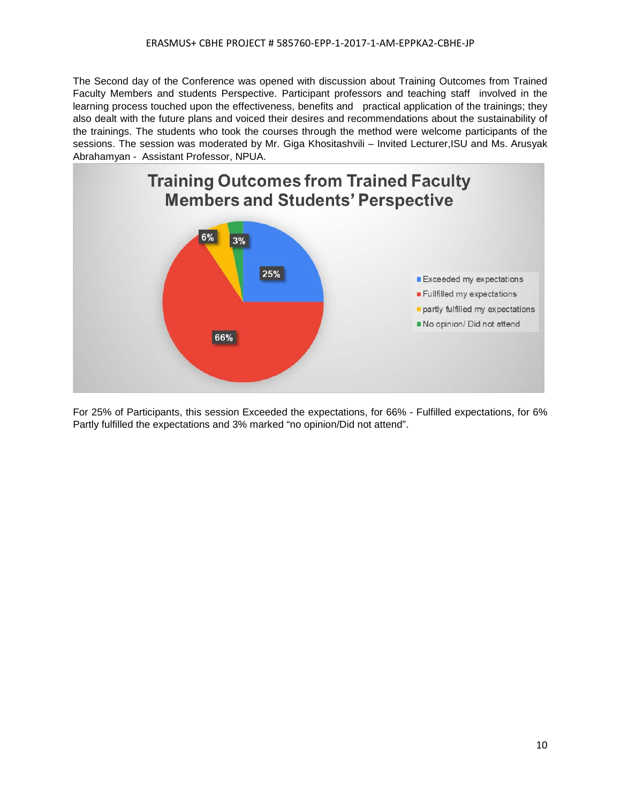The Second day of the Conference was opened with discussion about Training Outcomes from Trained Faculty Members and students Perspective. Participant professors and teaching staff involved in the learning process touched upon the effectiveness, benefits and practical application of the trainings; they also dealt with the future plans and voiced their desires and recommendations about the sustainability of the trainings. The students who took the courses through the method were welcome participants of the sessions. The session was moderated by Mr. Giga Khositashvili – Invited Lecturer,ISU and Ms. Arusyak Abrahamyan - Assistant Professor, NPUA.



For 25% of Participants, this session Exceeded the expectations, for 66% - Fulfilled expectations, for 6% Partly fulfilled the expectations and 3% marked "no opinion/Did not attend".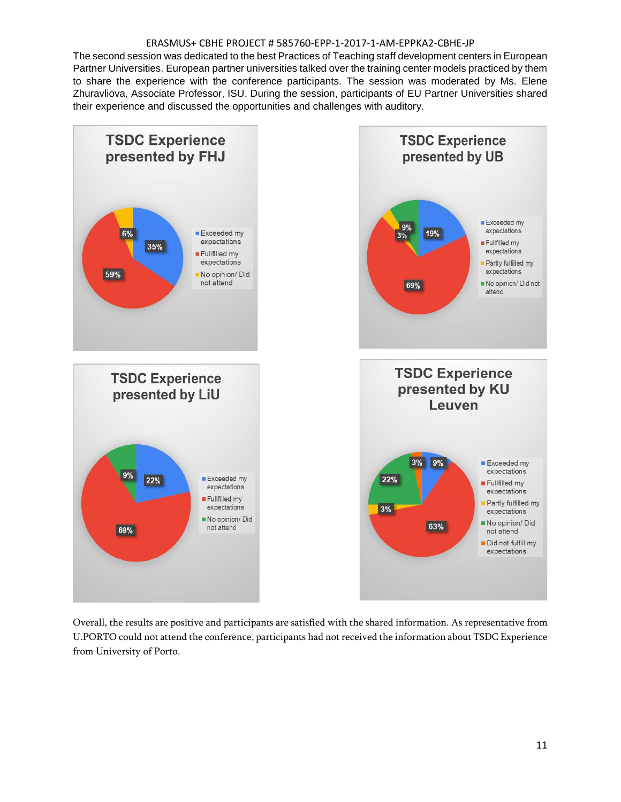The second session was dedicated to the best Practices of Teaching staff development centers in European Partner Universities. European partner universities talked over the training center models practiced by them to share the experience with the conference participants. The session was moderated by Ms. Elene Zhuravliova, Associate Professor, ISU. During the session, participants of EU Partner Universities shared their experience and discussed the opportunities and challenges with auditory.



Overall, the results are positive and participants are satisfied with the shared information. As representative from U.PORTO could not attend the conference, participants had not received the information about TSDC Experience from University of Porto.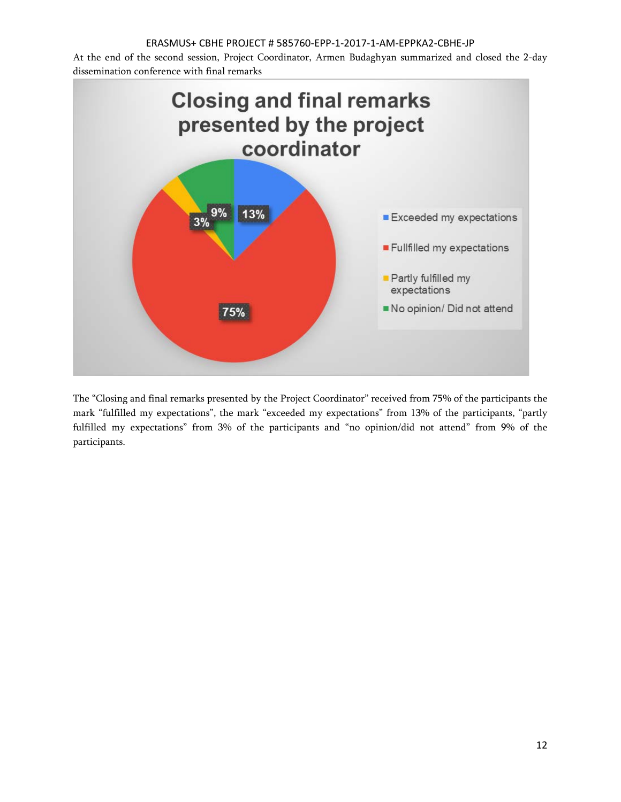At the end of the second session, Project Coordinator, Armen Budaghyan summarized and closed the 2-day dissemination conference with final remarks



The "Closing and final remarks presented by the Project Coordinator" received from 75% of the participants the mark "fulfilled my expectations", the mark "exceeded my expectations" from 13% of the participants, "partly fulfilled my expectations" from 3% of the participants and "no opinion/did not attend" from 9% of the participants.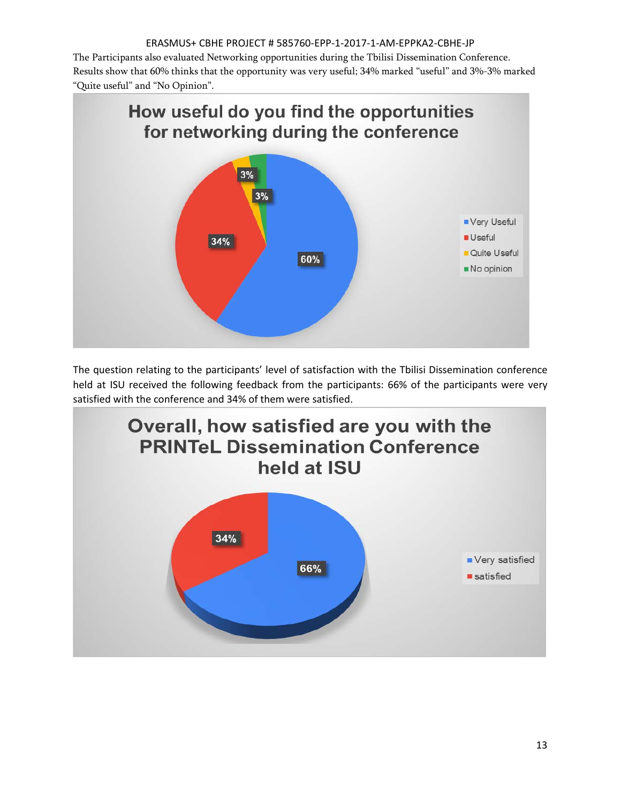The Participants also evaluated Networking opportunities during the Tbilisi Dissemination Conference. Results show that 60% thinks that the opportunity was very useful; 34% marked "useful" and 3%-3% marked "Quite useful" and "No Opinion".

![](_page_12_Figure_2.jpeg)

The question relating to the participants' level of satisfaction with the Tbilisi Dissemination conference held at ISU received the following feedback from the participants: 66% of the participants were very satisfied with the conference and 34% of them were satisfied.

![](_page_12_Figure_4.jpeg)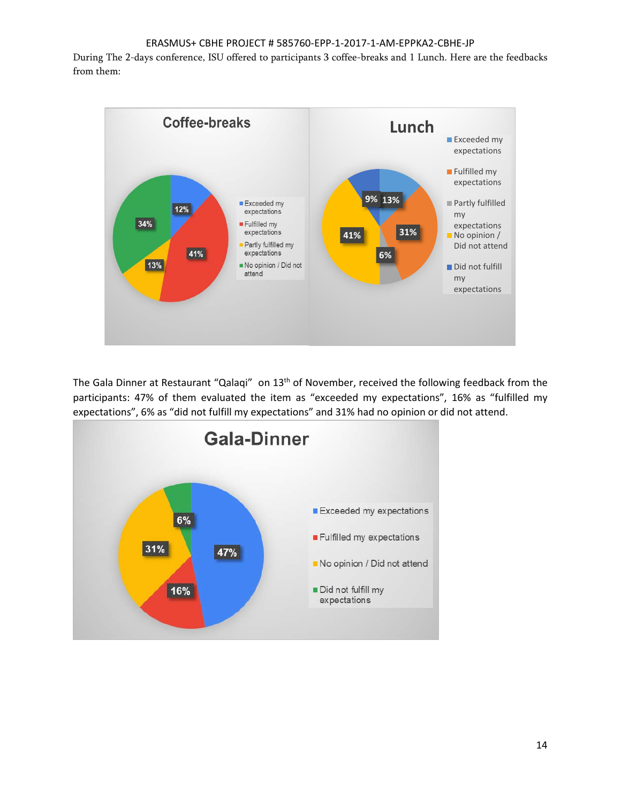During The 2-days conference, ISU offered to participants 3 coffee-breaks and 1 Lunch. Here are the feedbacks from them:

![](_page_13_Figure_2.jpeg)

The Gala Dinner at Restaurant "Qalaqi" on 13<sup>th</sup> of November, received the following feedback from the participants: 47% of them evaluated the item as "exceeded my expectations", 16% as "fulfilled my expectations", 6% as "did not fulfill my expectations" and 31% had no opinion or did not attend.

![](_page_13_Figure_4.jpeg)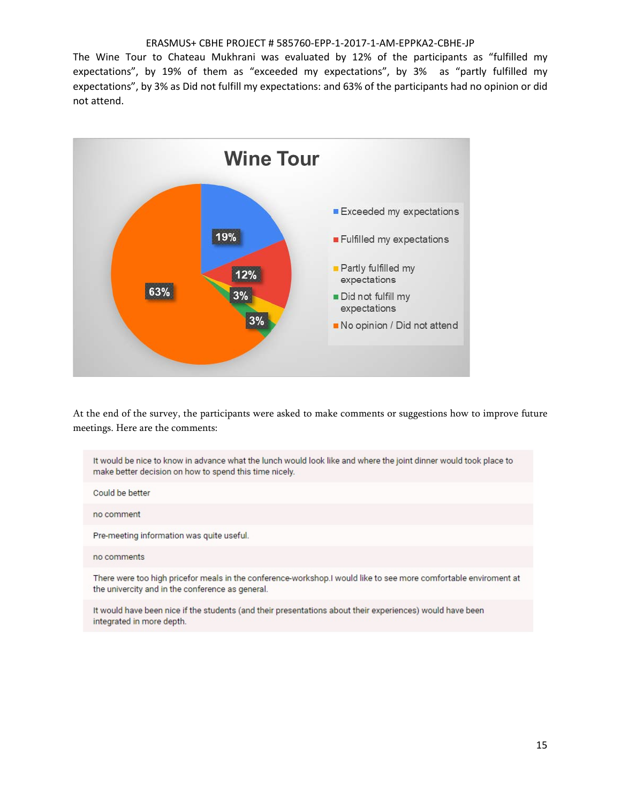The Wine Tour to Chateau Mukhrani was evaluated by 12% of the participants as "fulfilled my expectations", by 19% of them as "exceeded my expectations", by 3% as "partly fulfilled my expectations", by 3% as Did not fulfill my expectations: and 63% of the participants had no opinion or did not attend.

![](_page_14_Figure_2.jpeg)

At the end of the survey, the participants were asked to make comments or suggestions how to improve future meetings. Here are the comments:

It would be nice to know in advance what the lunch would look like and where the joint dinner would took place to make better decision on how to spend this time nicely.

Could be better

no comment

Pre-meeting information was quite useful.

#### no comments

There were too high pricefor meals in the conference-workshop.I would like to see more comfortable enviroment at the univercity and in the conference as general.

It would have been nice if the students (and their presentations about their experiences) would have been integrated in more depth.